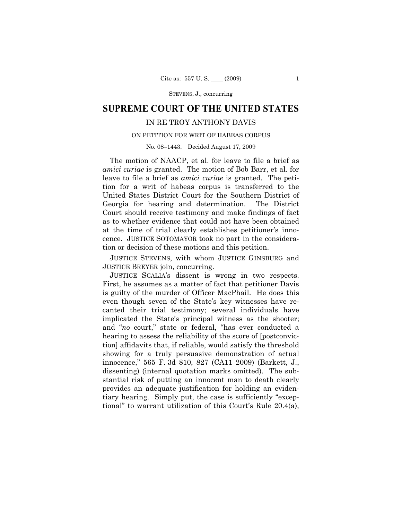STEVENS, J., concurring

# **SUPREME COURT OF THE UNITED STATES**

## IN RE TROY ANTHONY DAVIS

#### ON PETITION FOR WRIT OF HABEAS CORPUS

No. 08–1443. Decided August 17, 2009

The motion of NAACP, et al. for leave to file a brief as *amici curiae* is granted. The motion of Bob Barr, et al. for leave to file a brief as *amici curiae* is granted. The petition for a writ of habeas corpus is transferred to the United States District Court for the Southern District of Georgia for hearing and determination. The District Court should receive testimony and make findings of fact as to whether evidence that could not have been obtained at the time of trial clearly establishes petitioner's innocence. JUSTICE SOTOMAYOR took no part in the consideration or decision of these motions and this petition.

JUSTICE STEVENS, with whom JUSTICE GINSBURG and JUSTICE BREYER join, concurring.

JUSTICE SCALIA's dissent is wrong in two respects. First, he assumes as a matter of fact that petitioner Davis is guilty of the murder of Officer MacPhail. He does this even though seven of the State's key witnesses have recanted their trial testimony; several individuals have implicated the State's principal witness as the shooter; and "*no* court," state or federal, "has ever conducted a hearing to assess the reliability of the score of  $[postconvic$ tion] affidavits that, if reliable, would satisfy the threshold showing for a truly persuasive demonstration of actual innocence," 565 F. 3d 810, 827 (CA11 2009) (Barkett, J., dissenting) (internal quotation marks omitted). The substantial risk of putting an innocent man to death clearly provides an adequate justification for holding an evidentiary hearing. Simply put, the case is sufficiently "exceptional" to warrant utilization of this Court's Rule 20.4(a),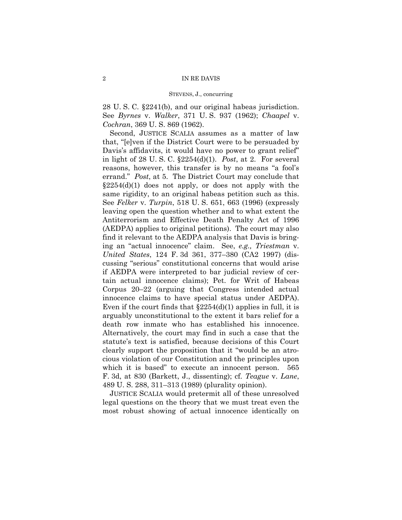#### STEVENS, J., concurring

28 U. S. C. §2241(b), and our original habeas jurisdiction. See *Byrnes* v. *Walker*, 371 U. S. 937 (1962); *Chaapel* v. *Cochran*, 369 U. S. 869 (1962).

 Second, JUSTICE SCALIA assumes as a matter of law that, "[e]ven if the District Court were to be persuaded by Davis's affidavits, it would have no power to grant relief" in light of 28 U. S. C. §2254(d)(1). *Post*, at 2. For several reasons, however, this transfer is by no means "a fool's errand." *Post*, at 5. The District Court may conclude that  $\S 2254(d)(1)$  does not apply, or does not apply with the same rigidity, to an original habeas petition such as this. See *Felker* v. *Turpin*, 518 U. S. 651, 663 (1996) (expressly leaving open the question whether and to what extent the Antiterrorism and Effective Death Penalty Act of 1996 (AEDPA) applies to original petitions). The court may also find it relevant to the AEDPA analysis that Davis is bringing an "actual innocence" claim. See, *e.g., Triestman* v. *United States*, 124 F. 3d 361, 377–380 (CA2 1997) (discussing "serious" constitutional concerns that would arise if AEDPA were interpreted to bar judicial review of certain actual innocence claims); Pet. for Writ of Habeas Corpus 20–22 (arguing that Congress intended actual innocence claims to have special status under AEDPA). Even if the court finds that  $\S2254(d)(1)$  applies in full, it is arguably unconstitutional to the extent it bars relief for a death row inmate who has established his innocence. Alternatively, the court may find in such a case that the statute's text is satisfied, because decisions of this Court clearly support the proposition that it "would be an atrocious violation of our Constitution and the principles upon which it is based" to execute an innocent person. 565 F. 3d, at 830 (Barkett, J., dissenting); cf. *Teague* v. *Lane*, 489 U. S. 288, 311–313 (1989) (plurality opinion).

JUSTICE SCALIA would pretermit all of these unresolved legal questions on the theory that we must treat even the most robust showing of actual innocence identically on